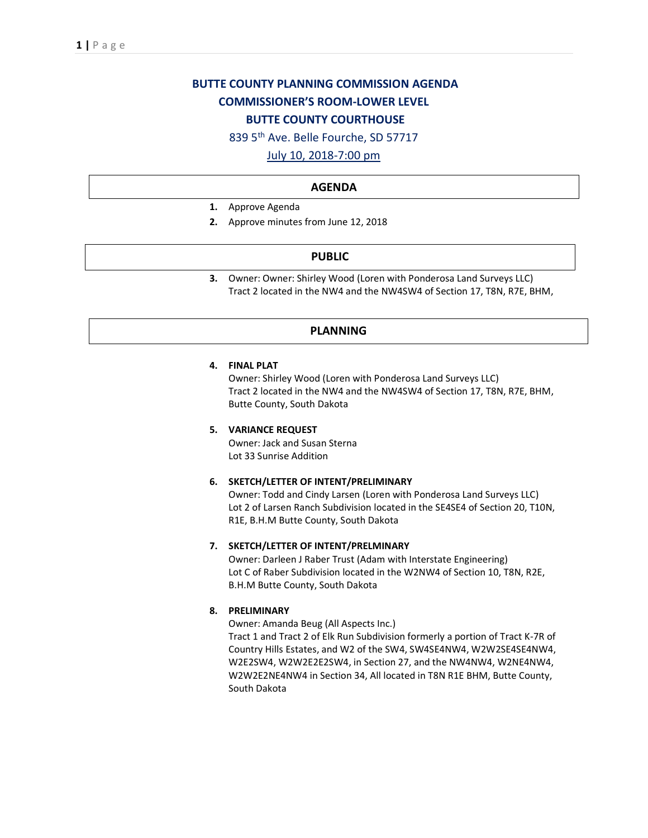# **BUTTE COUNTY PLANNING COMMISSION AGENDA COMMISSIONER'S ROOM-LOWER LEVEL BUTTE COUNTY COURTHOUSE**

839 5th Ave. Belle Fourche, SD 57717

July 10, 2018-7:00 pm

#### **AGENDA**

- **1.** Approve Agenda
- **2.** Approve minutes from June 12, 2018

#### **PUBLIC**

**3.** Owner: Owner: Shirley Wood (Loren with Ponderosa Land Surveys LLC) Tract 2 located in the NW4 and the NW4SW4 of Section 17, T8N, R7E, BHM,

### **PLANNING**

#### **4. FINAL PLAT**

Owner: Shirley Wood (Loren with Ponderosa Land Surveys LLC) Tract 2 located in the NW4 and the NW4SW4 of Section 17, T8N, R7E, BHM, Butte County, South Dakota

#### **5. VARIANCE REQUEST**

Owner: Jack and Susan Sterna Lot 33 Sunrise Addition

#### **6. SKETCH/LETTER OF INTENT/PRELIMINARY**

Owner: Todd and Cindy Larsen (Loren with Ponderosa Land Surveys LLC) Lot 2 of Larsen Ranch Subdivision located in the SE4SE4 of Section 20, T10N, R1E, B.H.M Butte County, South Dakota

#### **7. SKETCH/LETTER OF INTENT/PRELMINARY**

Owner: Darleen J Raber Trust (Adam with Interstate Engineering) Lot C of Raber Subdivision located in the W2NW4 of Section 10, T8N, R2E, B.H.M Butte County, South Dakota

## **8. PRELIMINARY**

Owner: Amanda Beug (All Aspects Inc.)

Tract 1 and Tract 2 of Elk Run Subdivision formerly a portion of Tract K-7R of Country Hills Estates, and W2 of the SW4, SW4SE4NW4, W2W2SE4SE4NW4, W2E2SW4, W2W2E2E2SW4, in Section 27, and the NW4NW4, W2NE4NW4, W2W2E2NE4NW4 in Section 34, All located in T8N R1E BHM, Butte County, South Dakota